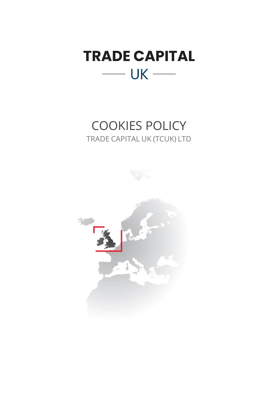

# COOKIES POLICY TRADE CAPITAL UK (TCUK) LTD

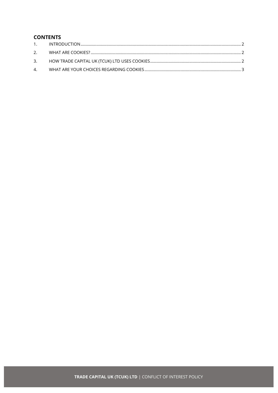## **CONTENTS**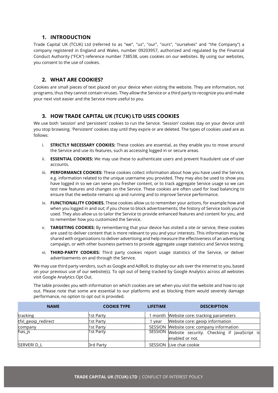### **1. INTRODUCTION**

<span id="page-2-0"></span>Trade Capital UK (TCUK) Ltd (referred to as "we", "us", "our", "ours", "ourselves" and ''the Company") a company registered in England and Wales, number 09203957, authorized and regulated by the Financial Conduct Authority ("FCA") reference number 738538, uses cookies on our websites. By using our websites, you consent to the use of cookies.

#### **2. WHAT ARE COOKIES?**

<span id="page-2-1"></span>Cookies are small pieces of text placed on your device when visiting the website. They are information, not programs, thus they cannot contain viruses. They allow the Service or a third party to recognize you and make your next visit easier and the Service more useful to you.

#### **3. HOW TRADE CAPITAL UK (TCUK) LTD USES COOKIES**

<span id="page-2-2"></span>We use both 'session' and 'persistent' cookies to run the Service. 'Session' cookies stay on your device until you stop browsing. 'Persistent' cookies stay until they expire or are deleted. The types of cookies used are as follows:

- i. **STRICTLY NECESSARY COOKIES:** These cookies are essential, as they enable you to move around the Service and use its features, such as accessing logged in or secure areas.
- ii. **ESSENTIAL COOKIES:** We may use these to authenticate users and prevent fraudulent use of user accounts.
- iii. **PERFORMANCE COOKIES:** These cookies collect information about how you have used the Service, e.g. information related to the unique username you provided. They may also be used to show you have logged in so we can serve you fresher content, or to track aggregate Service usage so we can test new features and changes on the Service. These cookies are often used for load balancing to ensure that the website remains up and running and to improve Service performance.
- iv. **FUNCTIONALITY COOKIES.** These cookies allow us to remember your actions, for example how and when you logged in and out; if you chose to block advertisements; the history of Service tools you've used. They also allow us to tailor the Service to provide enhanced features and content for you, and to remember how you customized the Service.
- v. **TARGETING COOKIES:** By remembering that your device has visited a site or service, these cookies are used to deliver content that is more relevant to you and your interests. This information may be shared with organizations to deliver advertising and help measure the effectiveness of an advertising campaign, or with other business partners to provide aggregate usage statistics and Service testing.
- vi. **THIRD-PARTY COOKIES:** Third party cookies report usage statistics of the Service, or deliver advertisements on and through the Service.

We may use third party vendors, such as Google and AdRoll, to display our ads over the internet to you, based on your previous use of our website(s). To opt out of being tracked by Google Analytics across all websites visit Google Analytics Opt Out.

The table provides you with information on which cookies are set when you visit the website and how to opt out. Please note that some are essential to our platforms and as blocking them would severely damage performance, no option to opt out is provided.

| <b>NAME</b>         | <b>COOKIE TYPE</b> | <b>LIFETIME</b> | <b>DESCRIPTION</b>                                                     |
|---------------------|--------------------|-----------------|------------------------------------------------------------------------|
| tracking            | 1st Party          |                 | month Website core: tracking parameters                                |
| tfxl_geoip_redirect | 1st Party          | vear            | Website core: geoip information                                        |
| company             | 1st Party          |                 | SESSION Website core: company information                              |
| has_js              | 1st Party          |                 | SESSION Website security. Checking if JavaScript is<br>enabled or not. |
| SERVERI D L         | <b>Brd Party</b>   |                 | SESSION Live chat cookie                                               |